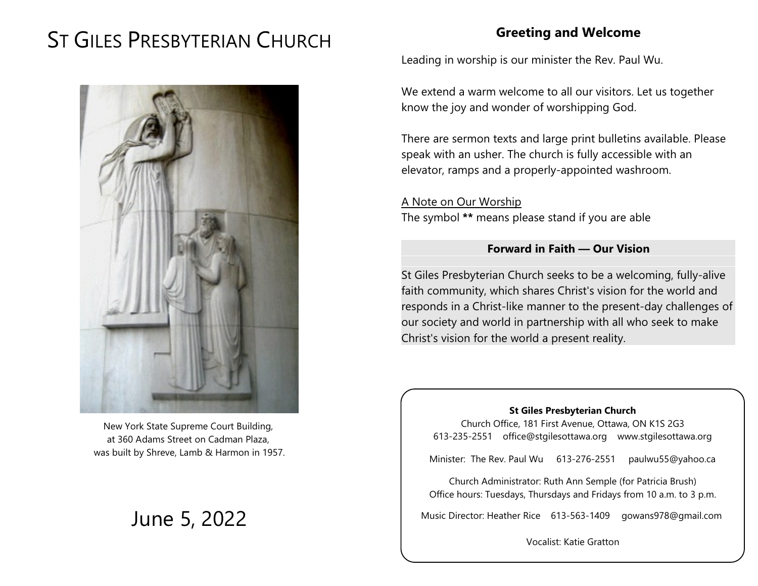# ST GILES PRESBYTERIAN CHURCH



New York State Supreme Court Building, at 360 Adams Street on Cadman Plaza, was built by Shreve, Lamb & Harmon in 1957.

# June 5, 2022

# **Greeting and Welcome**

Leading in worship is our minister the Rev. Paul Wu.

We extend a warm welcome to all our visitors. Let us together know the joy and wonder of worshipping God.

There are sermon texts and large print bulletins available. Please speak with an usher. The church is fully accessible with an elevator, ramps and a properly-appointed washroom.

A Note on Our Worship The symbol **\*\*** means please stand if you are able

#### **Forward in Faith — Our Vision**

St Giles Presbyterian Church seeks to be a welcoming, fully-alive faith community, which shares Christ's vision for the world and responds in a Christ-like manner to the present-day challenges of our society and world in partnership with all who seek to make Christ's vision for the world a present reality.

#### **St Giles Presbyterian Church**

Church Office, 181 First Avenue, Ottawa, ON K1S 2G3 613-235-2551 office@stgilesottawa.org www.stgilesottawa.org

Minister: The Rev. Paul Wu 613-276-2551 paulwu55@yahoo.ca

Church Administrator: Ruth Ann Semple (for Patricia Brush) Office hours: Tuesdays, Thursdays and Fridays from 10 a.m. to 3 p.m.

Music Director: Heather Rice 613-563-1409 gowans978@gmail.com

Vocalist: Katie Gratton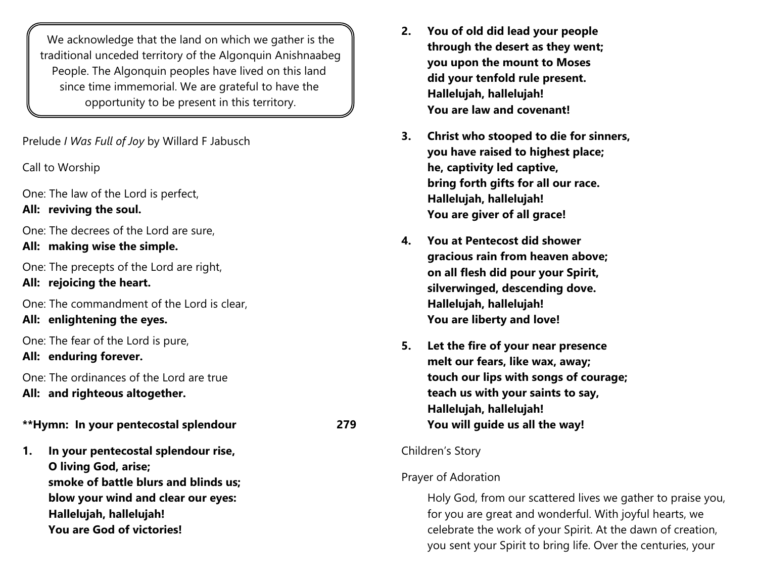We acknowledge that the land on which we gather is the traditional unceded territory of the Algonquin Anishnaabeg People. The Algonquin peoples have lived on this land since time immemorial. We are grateful to have the opportunity to be present in this territory.

Prelude *I Was Full of Joy* by Willard F Jabusch

Call to Worship

One: The law of the Lord is perfect, **All: reviving the soul.** 

One: The decrees of the Lord are sure,

**All: making wise the simple.**

One: The precepts of the Lord are right,

**All: rejoicing the heart.**

One: The commandment of the Lord is clear,

**All: enlightening the eyes.** 

One: The fear of the Lord is pure,

**All: enduring forever.** 

One: The ordinances of the Lord are true **All: and righteous altogether.** 

**\*\*Hymn: In your pentecostal splendour 279**

**1. In your pentecostal splendour rise, O living God, arise; smoke of battle blurs and blinds us; blow your wind and clear our eyes: Hallelujah, hallelujah! You are God of victories!**

- **2. You of old did lead your people through the desert as they went; you upon the mount to Moses did your tenfold rule present. Hallelujah, hallelujah! You are law and covenant!**
- **3. Christ who stooped to die for sinners, you have raised to highest place; he, captivity led captive, bring forth gifts for all our race. Hallelujah, hallelujah! You are giver of all grace!**
- **4. You at Pentecost did shower gracious rain from heaven above; on all flesh did pour your Spirit, silverwinged, descending dove. Hallelujah, hallelujah! You are liberty and love!**
- **5. Let the fire of your near presence melt our fears, like wax, away; touch our lips with songs of courage; teach us with your saints to say, Hallelujah, hallelujah! You will guide us all the way!**

#### Children's Story

## Prayer of Adoration

Holy God, from our scattered lives we gather to praise you, for you are great and wonderful. With joyful hearts, we celebrate the work of your Spirit. At the dawn of creation, you sent your Spirit to bring life. Over the centuries, your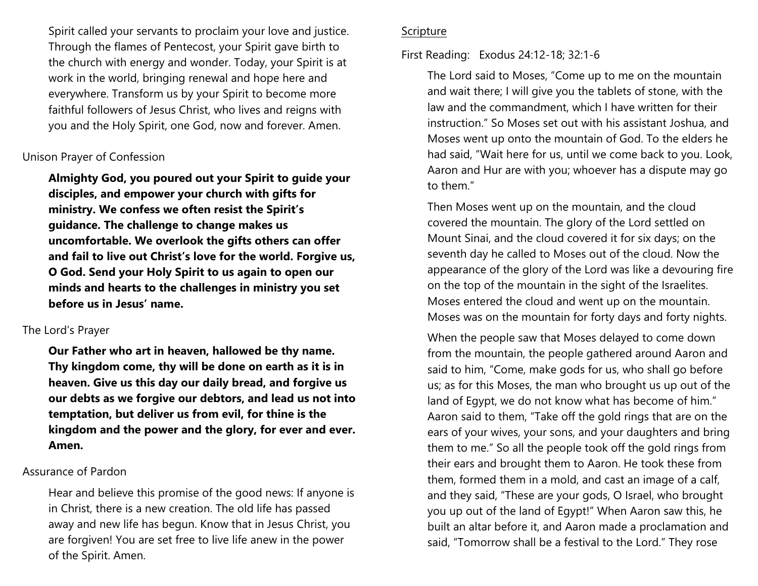Spirit called your servants to proclaim your love and justice. Through the flames of Pentecost, your Spirit gave birth to the church with energy and wonder. Today, your Spirit is at work in the world, bringing renewal and hope here and everywhere. Transform us by your Spirit to become more faithful followers of Jesus Christ, who lives and reigns with you and the Holy Spirit, one God, now and forever. Amen.

#### Unison Prayer of Confession

**Almighty God, you poured out your Spirit to guide your disciples, and empower your church with gifts for ministry. We confess we often resist the Spirit's guidance. The challenge to change makes us uncomfortable. We overlook the gifts others can offer and fail to live out Christ's love for the world. Forgive us, O God. Send your Holy Spirit to us again to open our minds and hearts to the challenges in ministry you set before us in Jesus' name.** 

#### The Lord's Prayer

**Our Father who art in heaven, hallowed be thy name. Thy kingdom come, thy will be done on earth as it is in heaven. Give us this day our daily bread, and forgive us our debts as we forgive our debtors, and lead us not into temptation, but deliver us from evil, for thine is the kingdom and the power and the glory, for ever and ever. Amen.**

#### Assurance of Pardon

Hear and believe this promise of the good news: If anyone is in Christ, there is a new creation. The old life has passed away and new life has begun. Know that in Jesus Christ, you are forgiven! You are set free to live life anew in the power of the Spirit. Amen.

#### Scripture

#### First Reading: Exodus 24:12-18; 32:1-6

The Lord said to Moses, "Come up to me on the mountain and wait there; I will give you the tablets of stone, with the law and the commandment, which I have written for their instruction." So Moses set out with his assistant Joshua, and Moses went up onto the mountain of God. To the elders he had said, "Wait here for us, until we come back to you. Look, Aaron and Hur are with you; whoever has a dispute may go to them."

Then Moses went up on the mountain, and the cloud covered the mountain. The glory of the Lord settled on Mount Sinai, and the cloud covered it for six days; on the seventh day he called to Moses out of the cloud. Now the appearance of the glory of the Lord was like a devouring fire on the top of the mountain in the sight of the Israelites. Moses entered the cloud and went up on the mountain. Moses was on the mountain for forty days and forty nights.

When the people saw that Moses delayed to come down from the mountain, the people gathered around Aaron and said to him, "Come, make gods for us, who shall go before us; as for this Moses, the man who brought us up out of the land of Egypt, we do not know what has become of him." Aaron said to them, "Take off the gold rings that are on the ears of your wives, your sons, and your daughters and bring them to me." So all the people took off the gold rings from their ears and brought them to Aaron. He took these from them, formed them in a mold, and cast an image of a calf, and they said, "These are your gods, O Israel, who brought you up out of the land of Egypt!" When Aaron saw this, he built an altar before it, and Aaron made a proclamation and said, "Tomorrow shall be a festival to the Lord." They rose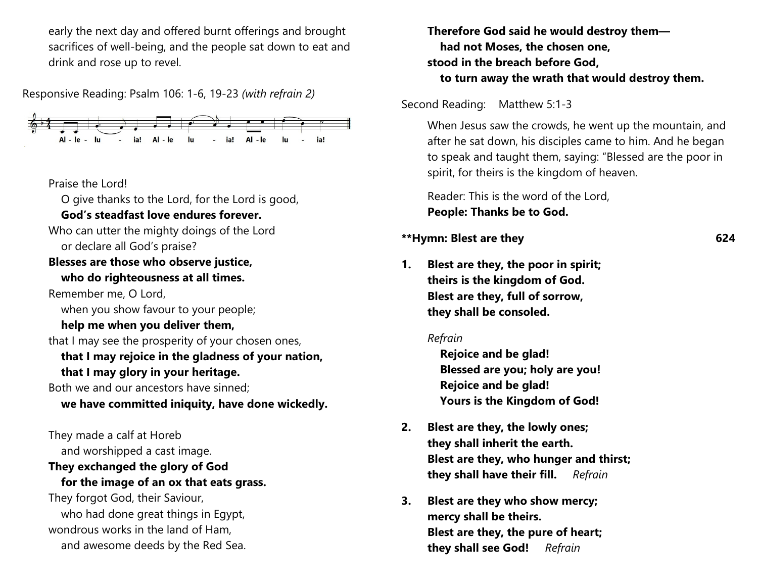early the next day and offered burnt offerings and brought sacrifices of well-being, and the people sat down to eat and drink and rose up to revel.

Responsive Reading: Psalm 106: 1-6, 19-23 *(with refrain 2)*



#### Praise the Lord!

O give thanks to the Lord, for the Lord is good,

### **God's steadfast love endures forever.**

Who can utter the mighty doings of the Lord or declare all God's praise?

#### **Blesses are those who observe justice, who do righteousness at all times.**

Remember me, O Lord, when you show favour to your people;

## **help me when you deliver them,**

that I may see the prosperity of your chosen ones,

## **that I may rejoice in the gladness of your nation, that I may glory in your heritage.**

Both we and our ancestors have sinned;

#### **we have committed iniquity, have done wickedly.**

They made a calf at Horeb and worshipped a cast image.

## **They exchanged the glory of God**

#### **for the image of an ox that eats grass.**

They forgot God, their Saviour, who had done great things in Egypt, wondrous works in the land of Ham, and awesome deeds by the Red Sea. **Therefore God said he would destroy them had not Moses, the chosen one, stood in the breach before God, to turn away the wrath that would destroy them.** 

#### Second Reading: Matthew 5:1-3

When Jesus saw the crowds, he went up the mountain, and after he sat down, his disciples came to him. And he began to speak and taught them, saying: "Blessed are the poor in spirit, for theirs is the kingdom of heaven.

Reader: This is the word of the Lord, **People: Thanks be to God.**

#### **\*\*Hymn: Blest are they 624**

## **1. Blest are they, the poor in spirit; theirs is the kingdom of God. Blest are they, full of sorrow, they shall be consoled.**

#### *Refrain*

**Rejoice and be glad! Blessed are you; holy are you! Rejoice and be glad! Yours is the Kingdom of God!**

- **2. Blest are they, the lowly ones; they shall inherit the earth. Blest are they, who hunger and thirst; they shall have their fill.** *Refrain*
- **3. Blest are they who show mercy; mercy shall be theirs. Blest are they, the pure of heart; they shall see God!** *Refrain*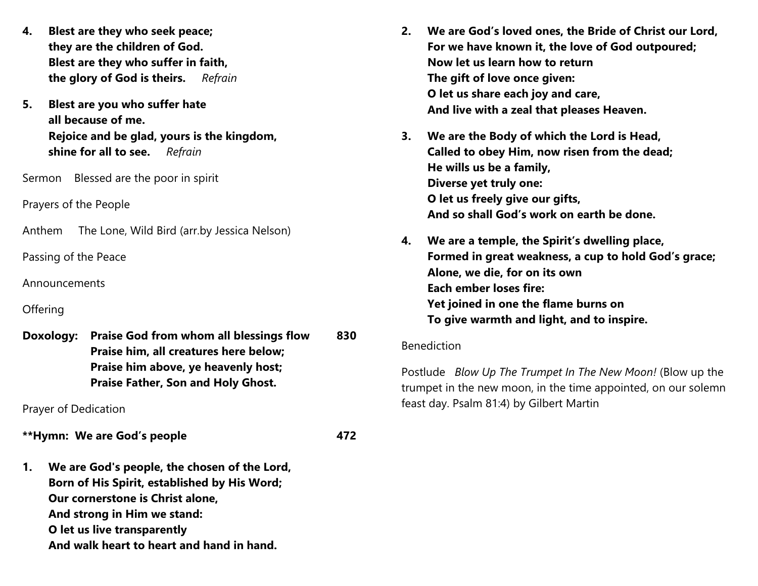- **4. Blest are they who seek peace; they are the children of God. Blest are they who suffer in faith, the glory of God is theirs.** *Refrain*
- **5. Blest are you who suffer hate all because of me. Rejoice and be glad, yours is the kingdom, shine for all to see.** *Refrain*

Sermon Blessed are the poor in spirit

Prayers of the People

Anthem The Lone, Wild Bird (arr.by Jessica Nelson)

Passing of the Peace

Announcements

#### **Offering**

**Doxology: Praise God from whom all blessings flow 830 Praise him, all creatures here below; Praise him above, ye heavenly host; Praise Father, Son and Holy Ghost.**

Prayer of Dedication

**\*\*Hymn: We are God's people 472**

**1. We are God's people, the chosen of the Lord, Born of His Spirit, established by His Word; Our cornerstone is Christ alone, And strong in Him we stand: O let us live transparently And walk heart to heart and hand in hand.**

- **2. We are God's loved ones, the Bride of Christ our Lord, For we have known it, the love of God outpoured; Now let us learn how to return The gift of love once given: O let us share each joy and care, And live with a zeal that pleases Heaven.**
- **3. We are the Body of which the Lord is Head, Called to obey Him, now risen from the dead; He wills us be a family, Diverse yet truly one: O let us freely give our gifts, And so shall God's work on earth be done.**
- **4. We are a temple, the Spirit's dwelling place, Formed in great weakness, a cup to hold God's grace; Alone, we die, for on its own Each ember loses fire: Yet joined in one the flame burns on To give warmth and light, and to inspire.**

#### Benediction

Postlude *Blow Up The Trumpet In The New Moon!* (Blow up the trumpet in the new moon, in the time appointed, on our solemn feast day. Psalm 81:4) by Gilbert Martin